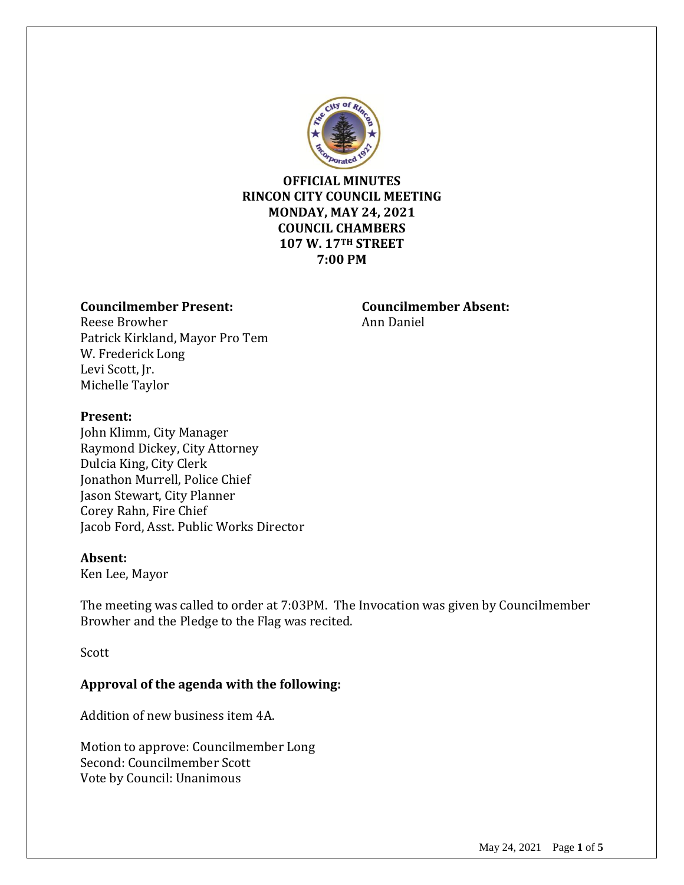

# **OFFICIAL MINUTES RINCON CITY COUNCIL MEETING MONDAY, MAY 24, 2021 COUNCIL CHAMBERS 107 W. 17TH STREET 7:00 PM**

#### **Councilmember Present: Councilmember Absent:**

Reese Browher **Announce** Ann Daniel Patrick Kirkland, Mayor Pro Tem W. Frederick Long Levi Scott, Jr. Michelle Taylor

#### **Present:**

John Klimm, City Manager Raymond Dickey, City Attorney Dulcia King, City Clerk Jonathon Murrell, Police Chief Jason Stewart, City Planner Corey Rahn, Fire Chief Jacob Ford, Asst. Public Works Director

#### **Absent:**

Ken Lee, Mayor

The meeting was called to order at 7:03PM. The Invocation was given by Councilmember Browher and the Pledge to the Flag was recited.

Scott

# **Approval of the agenda with the following:**

Addition of new business item 4A.

Motion to approve: Councilmember Long Second: Councilmember Scott Vote by Council: Unanimous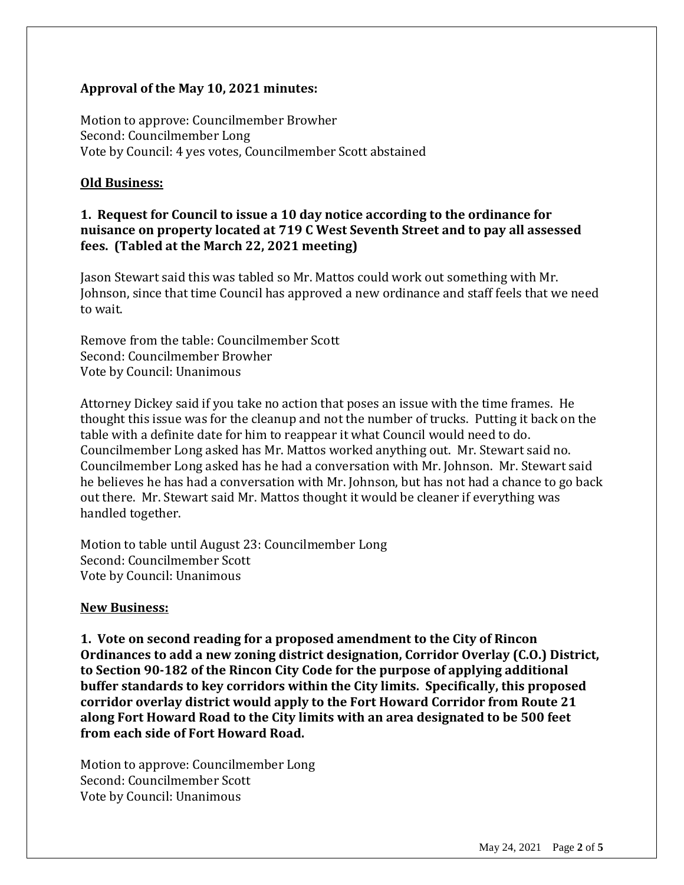## **Approval of the May 10, 2021 minutes:**

Motion to approve: Councilmember Browher Second: Councilmember Long Vote by Council: 4 yes votes, Councilmember Scott abstained

#### **Old Business:**

# **1. Request for Council to issue a 10 day notice according to the ordinance for nuisance on property located at 719 C West Seventh Street and to pay all assessed fees. (Tabled at the March 22, 2021 meeting)**

Jason Stewart said this was tabled so Mr. Mattos could work out something with Mr. Johnson, since that time Council has approved a new ordinance and staff feels that we need to wait.

Remove from the table: Councilmember Scott Second: Councilmember Browher Vote by Council: Unanimous

Attorney Dickey said if you take no action that poses an issue with the time frames. He thought this issue was for the cleanup and not the number of trucks. Putting it back on the table with a definite date for him to reappear it what Council would need to do. Councilmember Long asked has Mr. Mattos worked anything out. Mr. Stewart said no. Councilmember Long asked has he had a conversation with Mr. Johnson. Mr. Stewart said he believes he has had a conversation with Mr. Johnson, but has not had a chance to go back out there. Mr. Stewart said Mr. Mattos thought it would be cleaner if everything was handled together.

Motion to table until August 23: Councilmember Long Second: Councilmember Scott Vote by Council: Unanimous

#### **New Business:**

**1. Vote on second reading for a proposed amendment to the City of Rincon Ordinances to add a new zoning district designation, Corridor Overlay (C.O.) District, to Section 90-182 of the Rincon City Code for the purpose of applying additional buffer standards to key corridors within the City limits. Specifically, this proposed corridor overlay district would apply to the Fort Howard Corridor from Route 21 along Fort Howard Road to the City limits with an area designated to be 500 feet from each side of Fort Howard Road.** 

Motion to approve: Councilmember Long Second: Councilmember Scott Vote by Council: Unanimous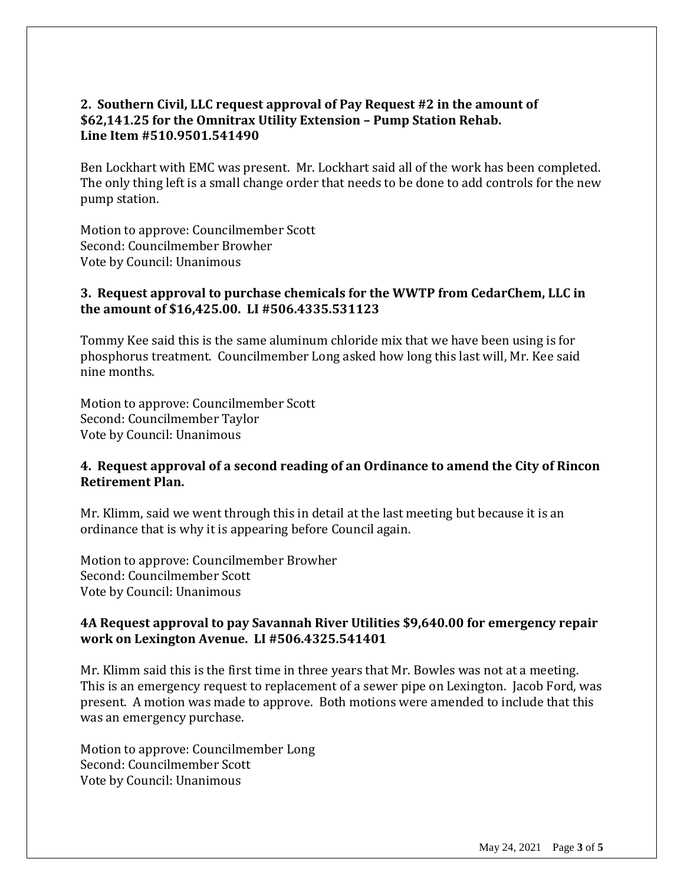# **2. Southern Civil, LLC request approval of Pay Request #2 in the amount of \$62,141.25 for the Omnitrax Utility Extension – Pump Station Rehab. Line Item #510.9501.541490**

Ben Lockhart with EMC was present. Mr. Lockhart said all of the work has been completed. The only thing left is a small change order that needs to be done to add controls for the new pump station.

Motion to approve: Councilmember Scott Second: Councilmember Browher Vote by Council: Unanimous

## **3. Request approval to purchase chemicals for the WWTP from CedarChem, LLC in the amount of \$16,425.00. LI #506.4335.531123**

Tommy Kee said this is the same aluminum chloride mix that we have been using is for phosphorus treatment. Councilmember Long asked how long this last will, Mr. Kee said nine months.

Motion to approve: Councilmember Scott Second: Councilmember Taylor Vote by Council: Unanimous

## **4. Request approval of a second reading of an Ordinance to amend the City of Rincon Retirement Plan.**

Mr. Klimm, said we went through this in detail at the last meeting but because it is an ordinance that is why it is appearing before Council again.

Motion to approve: Councilmember Browher Second: Councilmember Scott Vote by Council: Unanimous

# **4A Request approval to pay Savannah River Utilities \$9,640.00 for emergency repair work on Lexington Avenue. LI #506.4325.541401**

Mr. Klimm said this is the first time in three years that Mr. Bowles was not at a meeting. This is an emergency request to replacement of a sewer pipe on Lexington. Jacob Ford, was present. A motion was made to approve. Both motions were amended to include that this was an emergency purchase.

Motion to approve: Councilmember Long Second: Councilmember Scott Vote by Council: Unanimous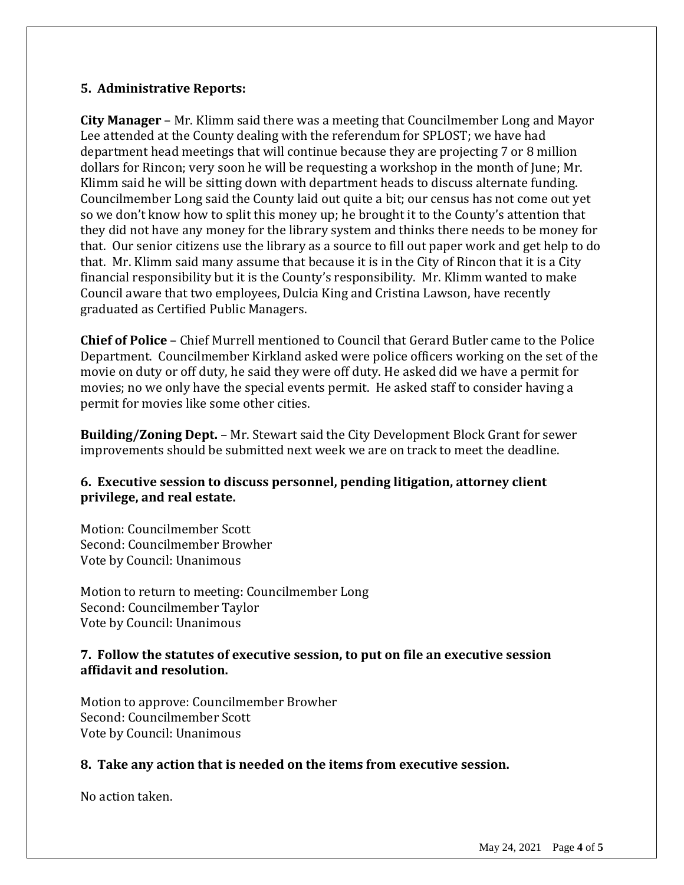## **5. Administrative Reports:**

**City Manager** – Mr. Klimm said there was a meeting that Councilmember Long and Mayor Lee attended at the County dealing with the referendum for SPLOST; we have had department head meetings that will continue because they are projecting 7 or 8 million dollars for Rincon; very soon he will be requesting a workshop in the month of June; Mr. Klimm said he will be sitting down with department heads to discuss alternate funding. Councilmember Long said the County laid out quite a bit; our census has not come out yet so we don't know how to split this money up; he brought it to the County's attention that they did not have any money for the library system and thinks there needs to be money for that. Our senior citizens use the library as a source to fill out paper work and get help to do that. Mr. Klimm said many assume that because it is in the City of Rincon that it is a City financial responsibility but it is the County's responsibility. Mr. Klimm wanted to make Council aware that two employees, Dulcia King and Cristina Lawson, have recently graduated as Certified Public Managers.

**Chief of Police** – Chief Murrell mentioned to Council that Gerard Butler came to the Police Department. Councilmember Kirkland asked were police officers working on the set of the movie on duty or off duty, he said they were off duty. He asked did we have a permit for movies; no we only have the special events permit. He asked staff to consider having a permit for movies like some other cities.

**Building/Zoning Dept.** – Mr. Stewart said the City Development Block Grant for sewer improvements should be submitted next week we are on track to meet the deadline.

# **6. Executive session to discuss personnel, pending litigation, attorney client privilege, and real estate.**

Motion: Councilmember Scott Second: Councilmember Browher Vote by Council: Unanimous

Motion to return to meeting: Councilmember Long Second: Councilmember Taylor Vote by Council: Unanimous

## **7. Follow the statutes of executive session, to put on file an executive session affidavit and resolution.**

Motion to approve: Councilmember Browher Second: Councilmember Scott Vote by Council: Unanimous

# **8. Take any action that is needed on the items from executive session.**

No action taken.